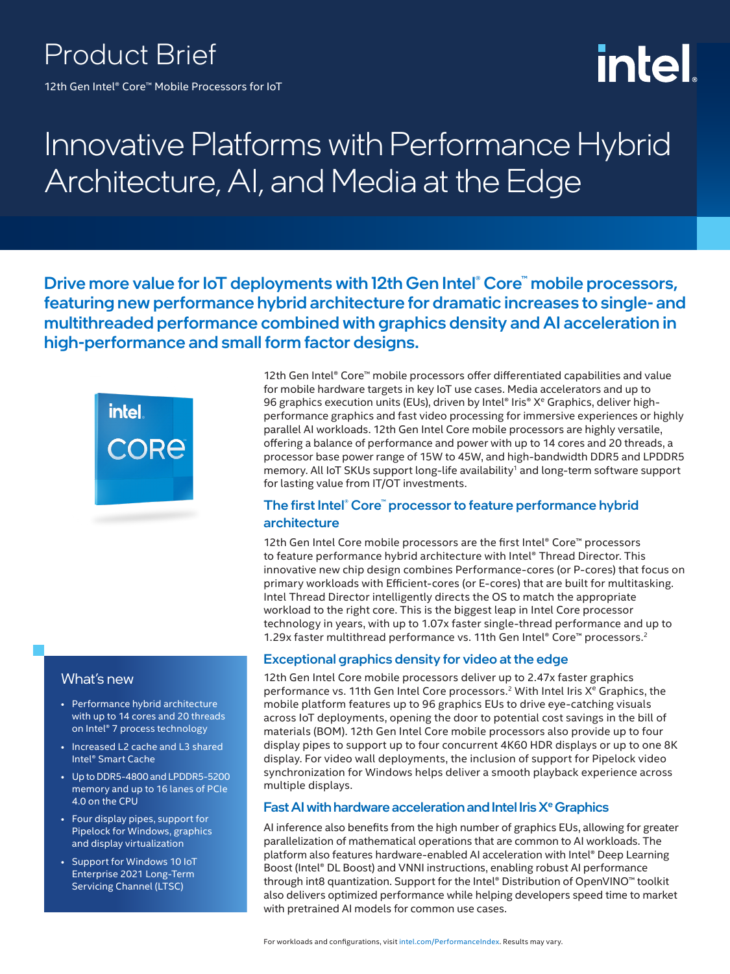# Product Brief

12th Gen Intel® Core™ Mobile Processors for IoT

# intel

# Innovative Platforms with Performance Hybrid Architecture, AI, and Media at the Edge

Drive more value for IoT deployments with 12th Gen Intel® Core™ mobile processors, featuring new performance hybrid architecture for dramatic increases to single- and multithreaded performance combined with graphics density and AI acceleration in high-performance and small form factor designs.



12th Gen Intel® Core™ mobile processors offer differentiated capabilities and value for mobile hardware targets in key IoT use cases. Media accelerators and up to 96 graphics execution units (EUs), driven by Intel® Iris® X<sup>e</sup> Graphics, deliver highperformance graphics and fast video processing for immersive experiences or highly parallel AI workloads. 12th Gen Intel Core mobile processors are highly versatile, offering a balance of performance and power with up to 14 cores and 20 threads, a processor base power range of 15W to 45W, and high-bandwidth DDR5 and LPDDR5 memory. All IoT SKUs support long-life availability<sup>1</sup> and long-term software support for lasting value from IT/OT investments.

#### The first Intel® Core™ processor to feature performance hybrid architecture

12th Gen Intel Core mobile processors are the first Intel® Core™ processors to feature performance hybrid architecture with Intel® Thread Director. This innovative new chip design combines Performance-cores (or P-cores) that focus on primary workloads with Efficient-cores (or E-cores) that are built for multitasking. Intel Thread Director intelligently directs the OS to match the appropriate workload to the right core. This is the biggest leap in Intel Core processor technology in years, with up to 1.07x faster single-thread performance and up to 1.29x faster multithread performance vs. 11th Gen Intel® Core™ processors.2

#### Exceptional graphics density for video at the edge

12th Gen Intel Core mobile processors deliver up to 2.47x faster graphics performance vs. 11th Gen Intel Core processors.<sup>2</sup> With Intel Iris X<sup>e</sup> Graphics, the mobile platform features up to 96 graphics EUs to drive eye-catching visuals across IoT deployments, opening the door to potential cost savings in the bill of materials (BOM). 12th Gen Intel Core mobile processors also provide up to four display pipes to support up to four concurrent 4K60 HDR displays or up to one 8K display. For video wall deployments, the inclusion of support for Pipelock video synchronization for Windows helps deliver a smooth playback experience across multiple displays.

#### Fast AI with hardware acceleration and Intel Iris  $X^e$  Graphics

AI inference also benefits from the high number of graphics EUs, allowing for greater parallelization of mathematical operations that are common to AI workloads. The platform also features hardware-enabled AI acceleration with Intel® Deep Learning Boost (Intel® DL Boost) and VNNI instructions, enabling robust AI performance through int8 quantization. Support for the Intel® Distribution of OpenVINO™ toolkit also delivers optimized performance while helping developers speed time to market with pretrained AI models for common use cases.

#### What's new

- Performance hybrid architecture with up to 14 cores and 20 threads on Intel® 7 process technology
- Increased L2 cache and L3 shared Intel® Smart Cache
- Up to DDR5-4800 and LPDDR5-5200 memory and up to 16 lanes of PCIe 4.0 on the CPU
- Four display pipes, support for Pipelock for Windows, graphics and display virtualization
- Support for Windows 10 IoT Enterprise 2021 Long-Term Servicing Channel (LTSC)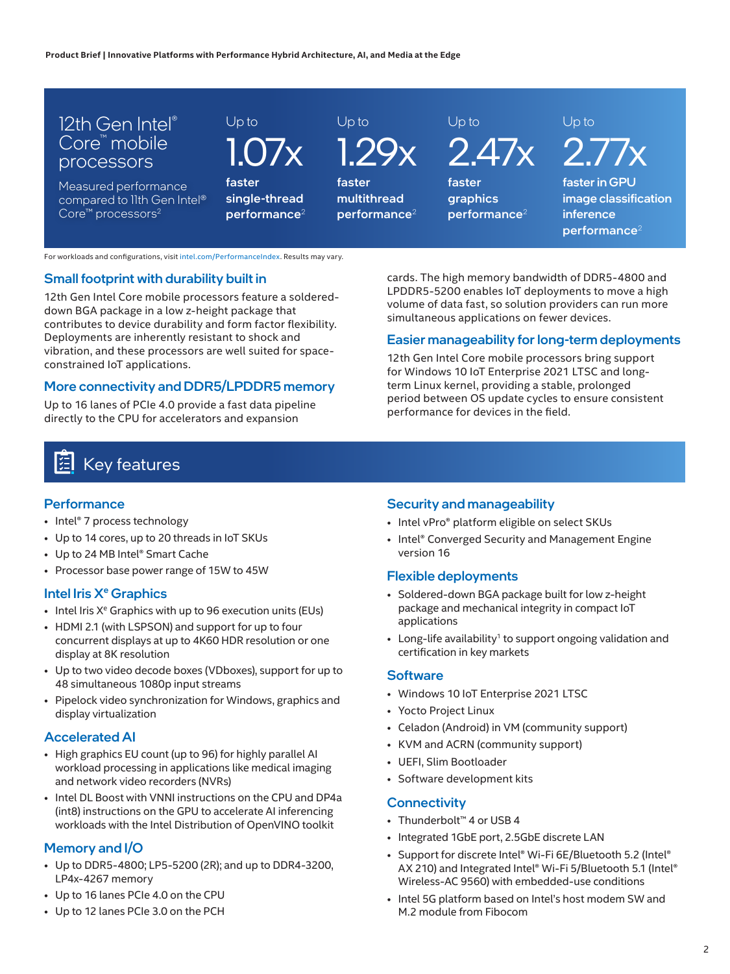

#### For workloads and configurations, visit i[ntel.com/PerformanceIndex.](http://www.Intel.com/PerformanceIndex) Results may vary.

#### Small footprint with durability built in

12th Gen Intel Core mobile processors feature a soldereddown BGA package in a low z-height package that contributes to device durability and form factor flexibility. Deployments are inherently resistant to shock and vibration, and these processors are well suited for spaceconstrained IoT applications.

#### More connectivity and DDR5/LPDDR5 memory

Up to 16 lanes of PCIe 4.0 provide a fast data pipeline directly to the CPU for accelerators and expansion

cards. The high memory bandwidth of DDR5-4800 and LPDDR5-5200 enables IoT deployments to move a high volume of data fast, so solution providers can run more simultaneous applications on fewer devices.

#### Easier manageability for long-term deployments

12th Gen Intel Core mobile processors bring support for Windows 10 IoT Enterprise 2021 LTSC and longterm Linux kernel, providing a stable, prolonged period between OS update cycles to ensure consistent performance for devices in the field.

# Key features

#### **Performance**

- Intel® 7 process technology
- Up to 14 cores, up to 20 threads in IoT SKUs
- Up to 24 MB Intel® Smart Cache
- Processor base power range of 15W to 45W

#### Intel Iris X<sup>e</sup> Graphics

- $\bullet$  Intel Iris  $X^e$  Graphics with up to 96 execution units (EUs)
- HDMI 2.1 (with LSPSON) and support for up to four concurrent displays at up to 4K60 HDR resolution or one display at 8K resolution
- Up to two video decode boxes (VDboxes), support for up to 48 simultaneous 1080p input streams
- Pipelock video synchronization for Windows, graphics and display virtualization

#### Accelerated AI

- High graphics EU count (up to 96) for highly parallel AI workload processing in applications like medical imaging and network video recorders (NVRs)
- Intel DL Boost with VNNI instructions on the CPU and DP4a (int8) instructions on the GPU to accelerate AI inferencing workloads with the Intel Distribution of OpenVINO toolkit

#### Memory and I/O

- Up to DDR5-4800; LP5-5200 (2R); and up to DDR4-3200, LP4x-4267 memory
- Up to 16 lanes PCIe 4.0 on the CPU
- Up to 12 lanes PCIe 3.0 on the PCH

#### Security and manageability

- Intel vPro® platform eligible on select SKUs
- Intel® Converged Security and Management Engine version 16

#### Flexible deployments

- Soldered-down BGA package built for low z-height package and mechanical integrity in compact IoT applications
- Long-life availability<sup>1</sup> to support ongoing validation and certification in key markets

#### **Software**

- Windows 10 IoT Enterprise 2021 LTSC
- Yocto Project Linux
- Celadon (Android) in VM (community support)
- KVM and ACRN (community support)
- UEFI, Slim Bootloader
- Software development kits

#### **Connectivity**

- Thunderbolt™ 4 or USB 4
- Integrated 1GbE port, 2.5GbE discrete LAN
- Support for discrete Intel® Wi-Fi 6E/Bluetooth 5.2 (Intel® AX 210) and Integrated Intel® Wi-Fi 5/Bluetooth 5.1 (Intel® Wireless-AC 9560) with embedded-use conditions
- Intel 5G platform based on Intel's host modem SW and M.2 module from Fibocom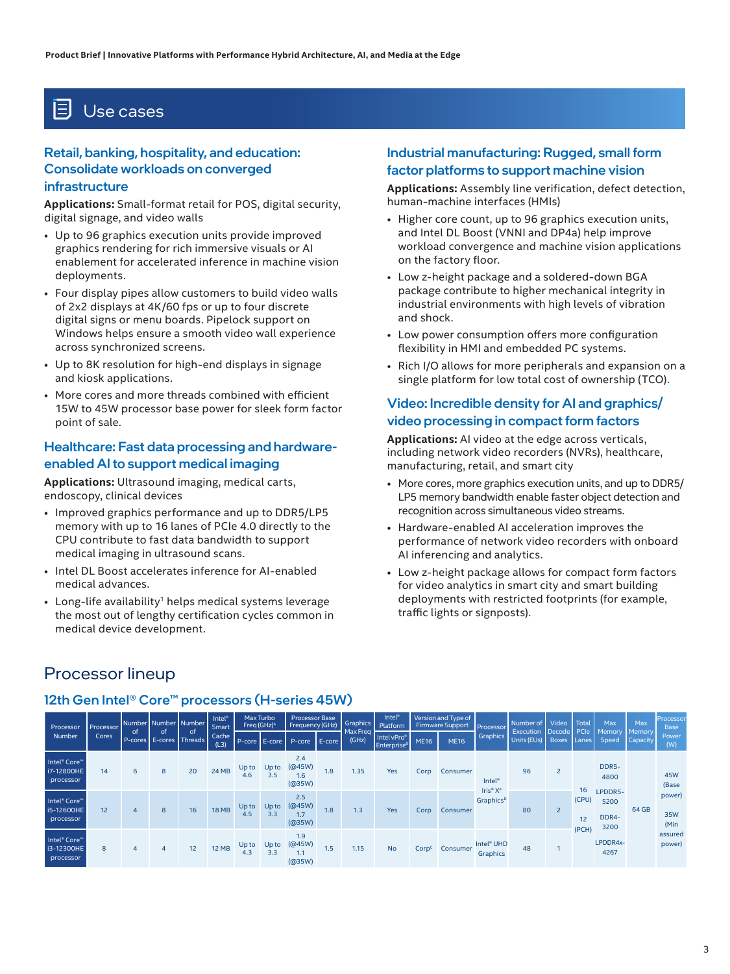## Use cases

#### Retail, banking, hospitality, and education: Consolidate workloads on converged infrastructure

**Applications:** Small-format retail for POS, digital security, digital signage, and video walls

- Up to 96 graphics execution units provide improved graphics rendering for rich immersive visuals or AI enablement for accelerated inference in machine vision deployments.
- Four display pipes allow customers to build video walls of 2x2 displays at 4K/60 fps or up to four discrete digital signs or menu boards. Pipelock support on Windows helps ensure a smooth video wall experience across synchronized screens.
- Up to 8K resolution for high-end displays in signage and kiosk applications.
- More cores and more threads combined with efficient 15W to 45W processor base power for sleek form factor point of sale.

#### Healthcare: Fast data processing and hardwareenabled AI to support medical imaging

**Applications:** Ultrasound imaging, medical carts, endoscopy, clinical devices

- Improved graphics performance and up to DDR5/LP5 memory with up to 16 lanes of PCIe 4.0 directly to the CPU contribute to fast data bandwidth to support medical imaging in ultrasound scans.
- Intel DL Boost accelerates inference for AI-enabled medical advances.
- Long-life availability<sup>1</sup> helps medical systems leverage the most out of lengthy certification cycles common in medical device development.

#### Industrial manufacturing: Rugged, small form factor platforms to support machine vision

**Applications:** Assembly line verification, defect detection, human-machine interfaces (HMIs)

- Higher core count, up to 96 graphics execution units, and Intel DL Boost (VNNI and DP4a) help improve workload convergence and machine vision applications on the factory floor.
- Low z-height package and a soldered-down BGA package contribute to higher mechanical integrity in industrial environments with high levels of vibration and shock.
- Low power consumption offers more configuration flexibility in HMI and embedded PC systems.
- Rich I/O allows for more peripherals and expansion on a single platform for low total cost of ownership (TCO).

#### Video: Incredible density for AI and graphics/ video processing in compact form factors

**Applications:** AI video at the edge across verticals, including network video recorders (NVRs), healthcare, manufacturing, retail, and smart city

- More cores, more graphics execution units, and up to DDR5/ LP5 memory bandwidth enable faster object detection and recognition across simultaneous video streams.
- Hardware-enabled AI acceleration improves the performance of network video recorders with onboard AI inferencing and analytics.
- Low z-height package allows for compact form factors for video analytics in smart city and smart building deployments with restricted footprints (for example, traffic lights or signposts).

## Processor lineup

| Processor                                                       | Processor<br>Cores | of<br>P-cores E-cores | of | Number Number Number<br>of<br>Threads | <b>Intel<sup>®</sup></b><br><b>Smart</b><br>Cache<br>(L3) | Max Turbo<br>Freq (GHz) <sup>^</sup> |                        | <b>Processor Base</b><br>Frequency (GHz) |        | Graphics<br>Max Freq | Intel <sup>®</sup><br>Platform                            |                   | Version and Type of<br>Firmware Support | Processor                            | Number of                | Video<br>Decode <sup>y</sup> | Total<br><b>PCIe</b> | Max                              | Max                       | Processor<br><b>Base</b> |
|-----------------------------------------------------------------|--------------------|-----------------------|----|---------------------------------------|-----------------------------------------------------------|--------------------------------------|------------------------|------------------------------------------|--------|----------------------|-----------------------------------------------------------|-------------------|-----------------------------------------|--------------------------------------|--------------------------|------------------------------|----------------------|----------------------------------|---------------------------|--------------------------|
| Number                                                          |                    |                       |    |                                       |                                                           |                                      | $P\text{-core}$ E-core | P-core                                   | E-core | (GHz)                | Intel vPro <sup>®</sup><br><b>Enterprise</b> <sup>B</sup> | <b>ME16</b>       | <b>ME16</b>                             | Graphics                             | Execution<br>Units (EUs) | <b>Boxes</b>                 | Lanes                | Memory<br>Speed                  | <b>Memory</b><br>Capacity | Power<br>(W)             |
| Intel <sup>®</sup> Core <sup>™</sup><br>i7-12800HE<br>processor | 14                 | 6                     | 8  | 20                                    | <b>24 MB</b>                                              | Up to<br>4.6                         | Up to<br>3.5           | 2.4<br>(@45W)<br>1.6<br>(@35W)           | 1.8    | 1.35                 | Yes                                                       | Corp              | Consumer                                | <b>Intel<sup>®</sup></b><br>Iris® Xe | 96                       | $\overline{2}$               |                      | DDR5-<br>4800                    |                           | 45W<br>(Base             |
| Intel <sup>®</sup> Core <sup>™</sup><br>i5-12600HE<br>processor | 12                 | 4                     | 8  | 16                                    | <b>18 MB</b>                                              | Up to<br>4.5                         | Up to<br>3.3           | 2.5<br>(Q45W)<br>1.7<br>(Q035W)          | 1.8    | 1.3                  | <b>Yes</b>                                                | Corp              | Consumer                                | Graphics <sup>D</sup>                | 80                       | $\overline{2}$               | 16<br>(CPU)<br>12    | LPDDR5-<br>5200<br>DDR4-<br>3200 | 64 GB                     | power)<br>35W<br>(Min    |
| Intel <sup>®</sup> Core <sup>™</sup><br>i3-12300HE<br>processor | 8                  | 4                     | 4  | 12                                    | <b>12 MB</b>                                              | Up to<br>4.3                         | Up to<br>3.3           | 1.9<br>(@45W)<br>1.1<br>(@35W)           | 1.5    | 1.15                 | No                                                        | Corp <sup>c</sup> | Consumer                                | Intel <sup>®</sup> UHD<br>Graphics   | 48                       |                              | (PCH)                | LPDDR4x-<br>4267                 |                           | assured<br>power)        |

#### 12th Gen Intel® Core™ processors (H-series 45W)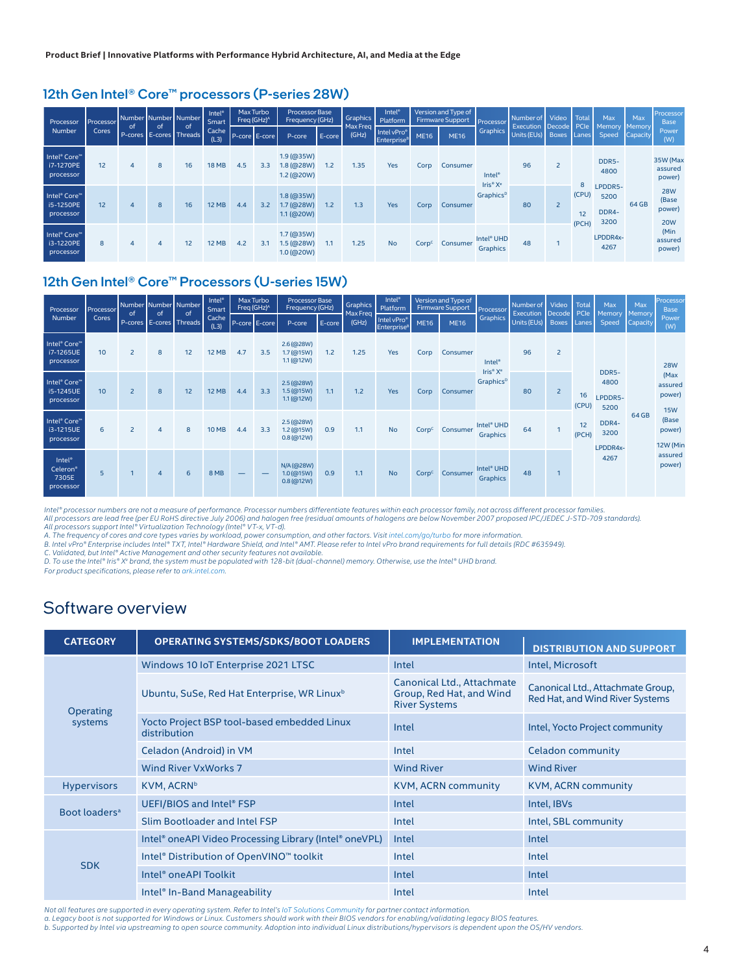#### 12th Gen Intel® Core™ processors (P-series 28W)

| Processor                                          | <b>Processor</b> |    | 0f           | Number Number Number<br>of<br>P-cores E-cores Threads | <b>Intel<sup>®</sup></b><br>Smart | Max Turbo<br>Freq (GHz) <sup>A</sup> |               | <b>Processor Base</b><br>Frequency (GHz)     |        | Graphics<br>Max Freq | Intel <sup>®</sup><br>Platform                            |                   | Version and Type of<br>Firmware Support<br>Processor |                                                              | Number of Video                            |                | <b>Total</b> | Max                              | Max      | Processon<br><b>Base</b>                    |
|----------------------------------------------------|------------------|----|--------------|-------------------------------------------------------|-----------------------------------|--------------------------------------|---------------|----------------------------------------------|--------|----------------------|-----------------------------------------------------------|-------------------|------------------------------------------------------|--------------------------------------------------------------|--------------------------------------------|----------------|--------------|----------------------------------|----------|---------------------------------------------|
| Number                                             | Cores            | of |              |                                                       | Cache<br>(L3)                     |                                      | P-core E-core | P-core                                       | E-core | (GHz)                | Intel vPro <sup>®</sup><br><b>Enterprise</b> <sup>B</sup> | <b>ME16</b>       | <b>ME16</b>                                          | Graphics                                                     | Execution Decode PCIe<br>Units (EUs) Boxes |                | Lanes        | Memory Memory<br>Speed           | Capacity | Power<br>(W)                                |
| Intel <sup>®</sup> Core™<br>i7-1270PE<br>processor | 12               | 4  | 8            | 16                                                    | <b>18 MB</b>                      | 4.5                                  | 3.3           | $1.9$ (@35W)<br>$1.8$ (@28W)<br>$1.2$ (@20W) | 1.2    | 1.35                 | Yes                                                       | Corp              | Consumer                                             | <b>Intel<sup>®</sup></b><br>Iris <sup>®</sup> X <sup>e</sup> | 96                                         | $\overline{2}$ | 8            | DDR5-<br>4800                    |          | 35W (Max<br>assured<br>power)               |
| Intel <sup>®</sup> Core™<br>i5-1250PE<br>processor | 12               | 4  | $\mathbf{8}$ | 16                                                    | <b>12 MB</b>                      | 4.4                                  | 3.2           | $1.8$ (@35W)<br>1.7(@28W)<br>1.1 (@20W)      | 1.2    | 1.3                  | Yes                                                       | Corp              | Consumer                                             | Graphics <sup>D</sup>                                        | 80                                         | $\overline{2}$ | (CPU)<br>12  | LPDDR5-<br>5200<br>DDR4-<br>3200 | 64 GB    | <b>28W</b><br>(Base<br>power)<br><b>20W</b> |
| Intel <sup>®</sup> Core™<br>i3-1220PE<br>processor | 8                | 4  |              | 12                                                    | <b>12 MB</b>                      | 4.2                                  | 3.1           | 1.7(@35W)<br>1.5 (@28W)<br>1.0(@20W)         | 1.1    | 1.25                 | <b>No</b>                                                 | Corp <sup>c</sup> | Consumer                                             | Intel <sup>®</sup> UHD<br>Graphics                           | 48                                         |                | (PCH)        | LPDDR4x-<br>4267                 |          | (Min<br>assured<br>power)                   |

#### 12th Gen Intel® Core™ Processors (U-series 15W)

| <b>Processor</b>                                               | Number Number Number<br>Processor<br>of |                | of             |                               | Intel <sup>®</sup><br>Smart | Max Turbo<br>Freq (GHz) <sup>A</sup> |               | <b>Processor Base</b><br>Frequency (GHz)   |        | <b>Graphics</b> | Intel <sup>®</sup><br>Platform<br>Max Freq               |                   | Version and Type of<br>Firmware Support<br>Processor |                                                              | Number of Video                              |                | Total<br>PCIe              | Max<br>Memory                    | Max<br>Memory | Processor<br><b>Base</b>                  |            |
|----------------------------------------------------------------|-----------------------------------------|----------------|----------------|-------------------------------|-----------------------------|--------------------------------------|---------------|--------------------------------------------|--------|-----------------|----------------------------------------------------------|-------------------|------------------------------------------------------|--------------------------------------------------------------|----------------------------------------------|----------------|----------------------------|----------------------------------|---------------|-------------------------------------------|------------|
| Number                                                         | Cores                                   |                |                | of<br>P-cores E-cores Threads | Cache<br>(L3)               |                                      | P-core E-core | P-core                                     | E-core | (GHz)           | Intel vPro <sup>®</sup><br><b>Enterprise<sup>8</sup></b> | <b>ME16</b>       | <b>ME16</b>                                          | <b>Graphics</b>                                              | <b>Execution Decode</b><br>Units (EUs) Boxes |                | Lanes                      | Speed                            | Capacity      | Power<br>(W)                              |            |
| Intel <sup>®</sup> Core <sup>™</sup><br>i7-1265UE<br>processor | 10                                      | $\overline{2}$ | 8              | 12                            | <b>12 MB</b>                | 4.7                                  | 3.5           | $2.6$ (@28W)<br>1.7 (@15W)<br>$1.1$ (@12W) | 1.2    | 1.25            | <b>Yes</b>                                               | Corp              | Consumer                                             | <b>Intel<sup>®</sup></b><br>Iris <sup>®</sup> X <sup>e</sup> | 96<br>80<br>64                               | $\overline{2}$ | 16<br>(CPU)<br>12<br>(PCH) |                                  |               |                                           | <b>28W</b> |
| Intel <sup>®</sup> Core <sup>™</sup><br>i5-1245UE<br>processor | 10 <sup>10</sup>                        | $\overline{2}$ | 8              | 12                            | <b>12 MB</b>                | 4.4                                  | 3.3           | $2.5$ (@28W)<br>1.5(@15W)<br>1.1 (@12W)    | 1.1    | 1.2             | Yes                                                      | Corp              | Consumer                                             | Graphics <sup>D</sup>                                        |                                              | $\overline{2}$ |                            | DDR5-<br>4800<br>LPDDR5-<br>5200 |               | (Max<br>assured<br>power)                 |            |
| Intel <sup>®</sup> Core <sup>™</sup><br>i3-1215UE<br>processor | 6                                       | $\overline{2}$ | $\overline{4}$ | 8                             | <b>10 MB</b>                | 4.4                                  | 3.3           | $2.5$ (@28W)<br>1.2 (@15W)<br>0.8(@12W)    | 0.9    | 1.1             | <b>No</b>                                                | Corp <sup>c</sup> | Consumer                                             | Intel <sup>®</sup> UHD<br>Graphics                           |                                              |                |                            | DDR4-<br>3200<br>LPDDR4x-        | 64 GB         | <b>15W</b><br>(Base<br>power)<br>12W (Min |            |
| Intel <sup>®</sup><br>Celeron®<br>7305E<br>processor           | 5                                       |                | $\overline{4}$ | 6                             | 8 MB                        | _                                    |               | N/A (@28W)<br>1.0 (@15W)<br>0.8(@12W)      | 0.9    | 1.1             | <b>No</b>                                                | Corp <sup>c</sup> | Consumer                                             | Intel <sup>®</sup> UHD<br>Graphics                           | 48                                           | ٦              |                            | 4267                             |               | assured<br>power)                         |            |

*Intel® processor numbers are not a measure of performance. Processor numbers differentiate features within each processor family, not across different processor families.*

All processors are lead free (per EU RoHS directive July 2006) and halogen free (residual amounts of halogens are below November 2007 proposed IPC/JEDEC J-STD-709 standards).<br>All processors support Intel® Virtualization Te

*D. To use the Intel® Iris® Xe brand, the system must be populated with 128-bit (dual-channel) memory. Otherwise, use the Intel® UHD brand.*

*For product specifications, please refer to [ark.intel.com](https://ark.intel.com)* 

### Software overview

| <b>CATEGORY</b>           | <b>OPERATING SYSTEMS/SDKS/BOOT LOADERS</b>                  | <b>IMPLEMENTATION</b>                                                          | <b>DISTRIBUTION AND SUPPORT</b>                                      |  |  |  |
|---------------------------|-------------------------------------------------------------|--------------------------------------------------------------------------------|----------------------------------------------------------------------|--|--|--|
|                           | Windows 10 IoT Enterprise 2021 LTSC                         | Intel                                                                          | Intel, Microsoft                                                     |  |  |  |
| Operating                 | Ubuntu, SuSe, Red Hat Enterprise, WR Linux <sup>b</sup>     | Canonical Ltd., Attachmate<br>Group, Red Hat, and Wind<br><b>River Systems</b> | Canonical Ltd., Attachmate Group,<br>Red Hat, and Wind River Systems |  |  |  |
| systems                   | Yocto Project BSP tool-based embedded Linux<br>distribution | Intel                                                                          | Intel, Yocto Project community                                       |  |  |  |
|                           | Celadon (Android) in VM                                     | Intel                                                                          | Celadon community                                                    |  |  |  |
|                           | Wind River VxWorks 7                                        | <b>Wind River</b>                                                              | <b>Wind River</b>                                                    |  |  |  |
| <b>Hypervisors</b>        | KVM, ACRN <sup>b</sup>                                      | <b>KVM, ACRN community</b>                                                     | <b>KVM, ACRN community</b>                                           |  |  |  |
|                           | UEFI/BIOS and Intel® FSP                                    | Intel                                                                          | Intel, IBVs                                                          |  |  |  |
| Boot loaders <sup>a</sup> | Slim Bootloader and Intel FSP                               | Intel                                                                          | Intel, SBL community                                                 |  |  |  |
|                           | Intel® one API Video Processing Library (Intel® one VPL)    | Intel                                                                          | Intel                                                                |  |  |  |
|                           | Intel® Distribution of OpenVINO™ toolkit                    | Intel                                                                          | Intel                                                                |  |  |  |
| <b>SDK</b>                | Intel <sup>®</sup> one API Toolkit                          | Intel                                                                          | Intel                                                                |  |  |  |
|                           | Intel <sup>®</sup> In-Band Manageability                    | Intel                                                                          | Intel                                                                |  |  |  |

Not all features are supported in every operating system. Refer to Intel's [IoT Solutions Community](https://www.intel.com/content/www/us/en/partner-alliance/community/iot/overview.html) for partner contact information.<br>a. Legacy boot is not supported for Windows or Linux. Customers should work with their BIO

*b. Supported by Intel via upstreaming to open source community. Adoption into individual Linux distributions/hypervisors is dependent upon the OS/HV vendors.*